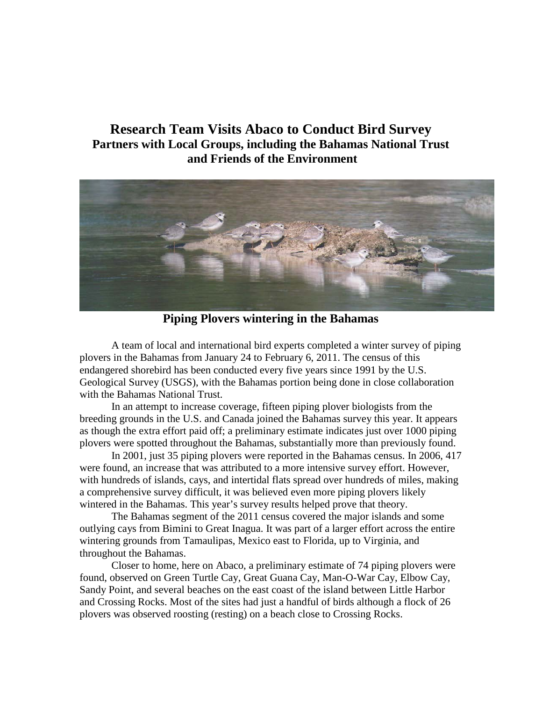## **Research Team Visits Abaco to Conduct Bird Survey Partners with Local Groups, including the Bahamas National Trust and Friends of the Environment**



**Piping Plovers wintering in the Bahamas**

A team of local and international bird experts completed a winter survey of piping plovers in the Bahamas from January 24 to February 6, 2011. The census of this endangered shorebird has been conducted every five years since 1991 by the U.S. Geological Survey (USGS), with the Bahamas portion being done in close collaboration with the Bahamas National Trust.

In an attempt to increase coverage, fifteen piping plover biologists from the breeding grounds in the U.S. and Canada joined the Bahamas survey this year. It appears as though the extra effort paid off; a preliminary estimate indicates just over 1000 piping plovers were spotted throughout the Bahamas, substantially more than previously found.

In 2001, just 35 piping plovers were reported in the Bahamas census. In 2006, 417 were found, an increase that was attributed to a more intensive survey effort. However, with hundreds of islands, cays, and intertidal flats spread over hundreds of miles, making a comprehensive survey difficult, it was believed even more piping plovers likely wintered in the Bahamas. This year's survey results helped prove that theory.

The Bahamas segment of the 2011 census covered the major islands and some outlying cays from Bimini to Great Inagua. It was part of a larger effort across the entire wintering grounds from Tamaulipas, Mexico east to Florida, up to Virginia, and throughout the Bahamas.

Closer to home, here on Abaco, a preliminary estimate of 74 piping plovers were found, observed on Green Turtle Cay, Great Guana Cay, Man-O-War Cay, Elbow Cay, Sandy Point, and several beaches on the east coast of the island between Little Harbor and Crossing Rocks. Most of the sites had just a handful of birds although a flock of 26 plovers was observed roosting (resting) on a beach close to Crossing Rocks.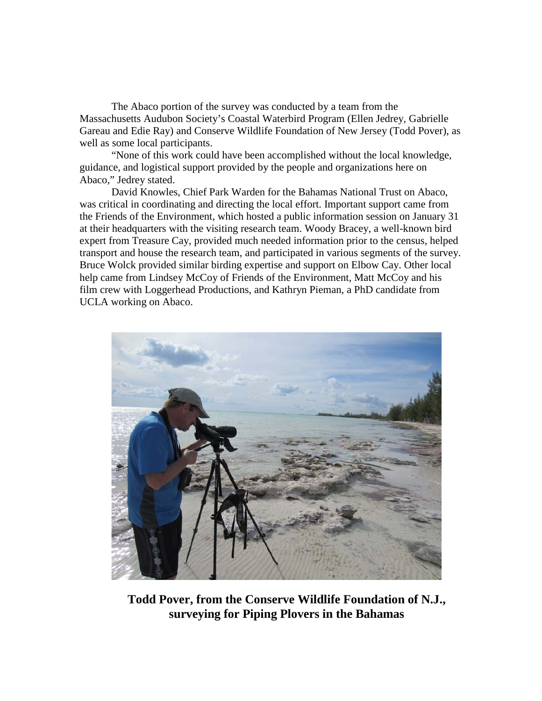The Abaco portion of the survey was conducted by a team from the Massachusetts Audubon Society's Coastal Waterbird Program (Ellen Jedrey, Gabrielle Gareau and Edie Ray) and Conserve Wildlife Foundation of New Jersey (Todd Pover), as well as some local participants.

"None of this work could have been accomplished without the local knowledge, guidance, and logistical support provided by the people and organizations here on Abaco," Jedrey stated.

David Knowles, Chief Park Warden for the Bahamas National Trust on Abaco, was critical in coordinating and directing the local effort. Important support came from the Friends of the Environment, which hosted a public information session on January 31 at their headquarters with the visiting research team. Woody Bracey, a well-known bird expert from Treasure Cay, provided much needed information prior to the census, helped transport and house the research team, and participated in various segments of the survey. Bruce Wolck provided similar birding expertise and support on Elbow Cay. Other local help came from Lindsey McCoy of Friends of the Environment, Matt McCoy and his film crew with Loggerhead Productions, and Kathryn Pieman, a PhD candidate from UCLA working on Abaco.



**Todd Pover, from the Conserve Wildlife Foundation of N.J., surveying for Piping Plovers in the Bahamas**